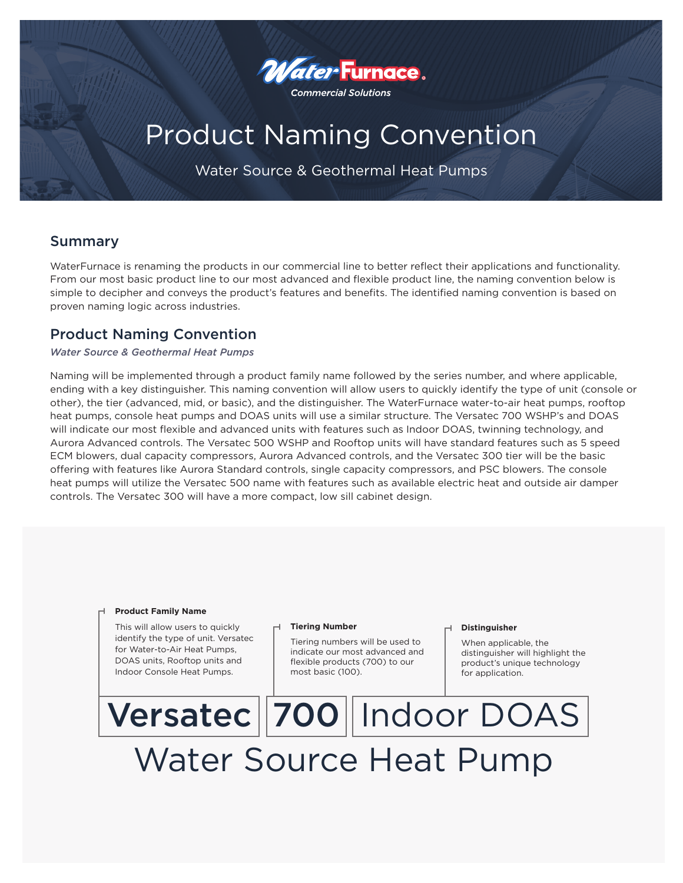

# Product Naming Convention

Water Source & Geothermal Heat Pumps

## Summary

WaterFurnace is renaming the products in our commercial line to better reflect their applications and functionality. From our most basic product line to our most advanced and flexible product line, the naming convention below is simple to decipher and conveys the product's features and benefits. The identified naming convention is based on proven naming logic across industries.

## Product Naming Convention

### *Water Source & Geothermal Heat Pumps*

Naming will be implemented through a product family name followed by the series number, and where applicable, ending with a key distinguisher. This naming convention will allow users to quickly identify the type of unit (console or other), the tier (advanced, mid, or basic), and the distinguisher. The WaterFurnace water-to-air heat pumps, rooftop heat pumps, console heat pumps and DOAS units will use a similar structure. The Versatec 700 WSHP's and DOAS will indicate our most flexible and advanced units with features such as Indoor DOAS, twinning technology, and Aurora Advanced controls. The Versatec 500 WSHP and Rooftop units will have standard features such as 5 speed ECM blowers, dual capacity compressors, Aurora Advanced controls, and the Versatec 300 tier will be the basic offering with features like Aurora Standard controls, single capacity compressors, and PSC blowers. The console heat pumps will utilize the Versatec 500 name with features such as available electric heat and outside air damper controls. The Versatec 300 will have a more compact, low sill cabinet design.

#### **Product Family Name**

This will allow users to quickly identify the type of unit. Versatec for Water-to-Air Heat Pumps, DOAS units, Rooftop units and Indoor Console Heat Pumps.

#### **Tiering Number**

Tiering numbers will be used to indicate our most advanced and flexible products (700) to our most basic (100).

#### **Distinguisher**

When applicable, the distinguisher will highlight the product's unique technology for application.

# Versatec 700 Indoor DOAS Water Source Heat Pump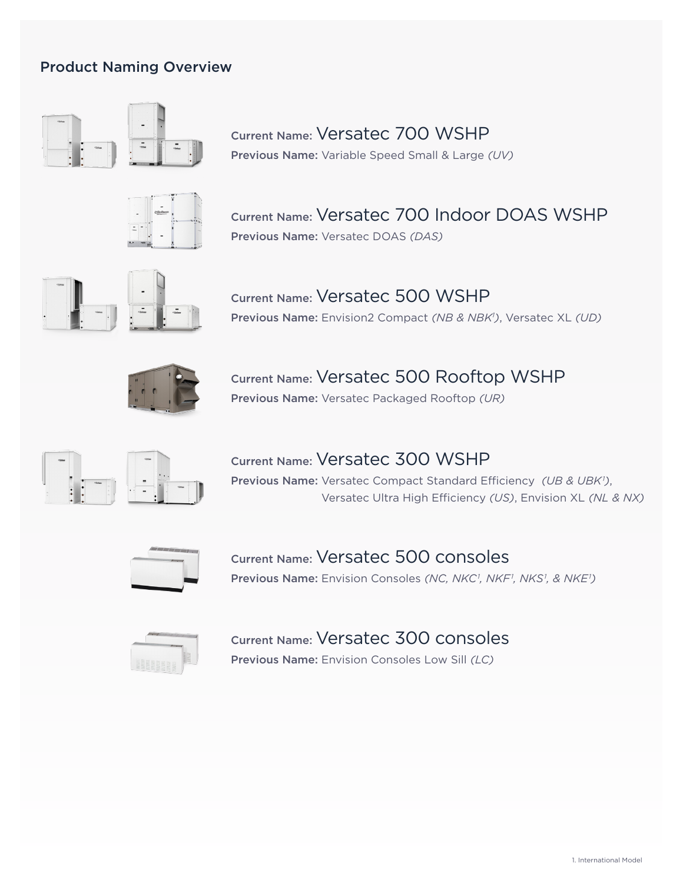## Product Naming Overview



Current Name: Versatec 700 WSHP Previous Name: Variable Speed Small & Large *(UV)*



Current Name: Versatec 700 Indoor DOAS WSHP Previous Name: Versatec DOAS *(DAS)*



Current Name: Versatec 500 WSHP Previous Name: Envision2 Compact *(NB & NBK1 )*, Versatec XL *(UD)*



Current Name: Versatec 500 Rooftop WSHP Previous Name: Versatec Packaged Rooftop *(UR)*



Current Name: Versatec 300 WSHP Previous Name: Versatec Compact Standard Efficiency *(UB & UBK<sup>1</sup>)*, Versatec Ultra High Efficiency *(US)*, Envision XL *(NL & NX)*



Current Name: Versatec 500 consoles Previous Name: Envision Consoles (NC, NKC<sup>1</sup>, NKF<sup>1</sup>, NKS<sup>1</sup>, & NKE<sup>1</sup>)



## Current Name: Versatec 300 consoles

Previous Name: Envision Consoles Low Sill *(LC)*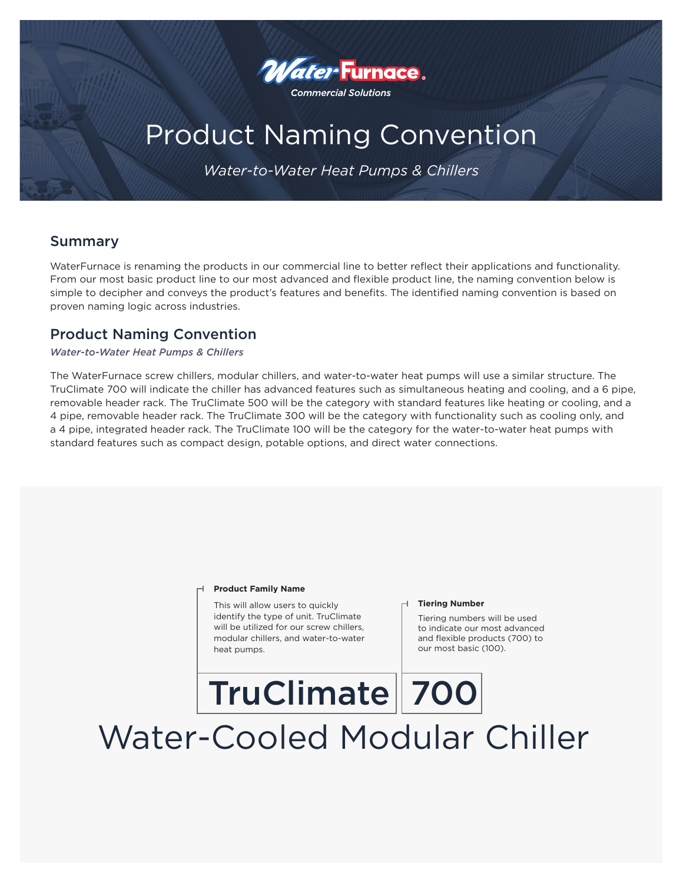

# Product Naming Convention

*Water-to-Water Heat Pumps & Chillers*

## Summary

WaterFurnace is renaming the products in our commercial line to better reflect their applications and functionality. From our most basic product line to our most advanced and flexible product line, the naming convention below is simple to decipher and conveys the product's features and benefits. The identified naming convention is based on proven naming logic across industries.

### Product Naming Convention

### *Water-to-Water Heat Pumps & Chillers*

The WaterFurnace screw chillers, modular chillers, and water-to-water heat pumps will use a similar structure. The TruClimate 700 will indicate the chiller has advanced features such as simultaneous heating and cooling, and a 6 pipe, removable header rack. The TruClimate 500 will be the category with standard features like heating or cooling, and a 4 pipe, removable header rack. The TruClimate 300 will be the category with functionality such as cooling only, and a 4 pipe, integrated header rack. The TruClimate 100 will be the category for the water-to-water heat pumps with standard features such as compact design, potable options, and direct water connections.

#### **Product Family Name**

This will allow users to quickly identify the type of unit. TruClimate will be utilized for our screw chillers, modular chillers, and water-to-water heat pumps.

#### **Tiering Number**

Tiering numbers will be used to indicate our most advanced and flexible products (700) to our most basic (100).

# TruClimate | 700 Water-Cooled Modular Chiller